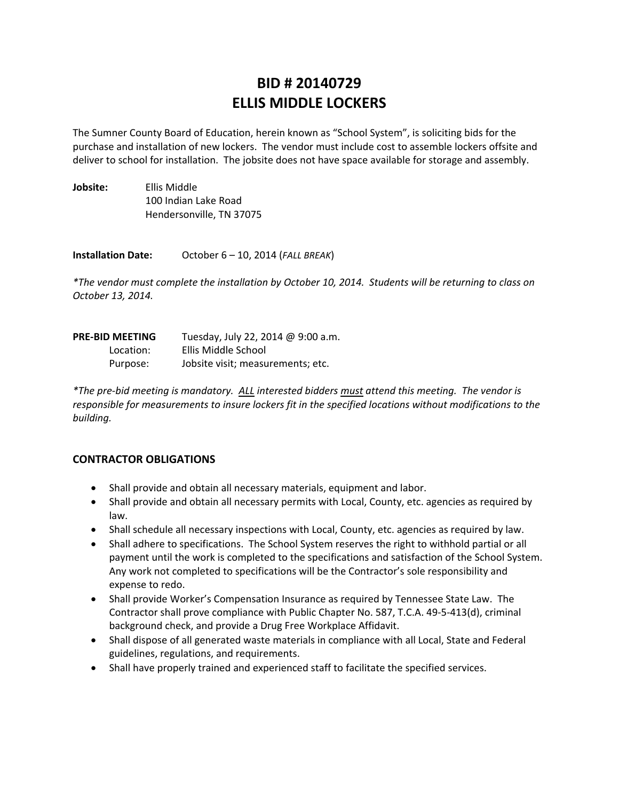# **BID # 20140729 ELLIS MIDDLE LOCKERS**

The Sumner County Board of Education, herein known as "School System", is soliciting bids for the purchase and installation of new lockers. The vendor must include cost to assemble lockers offsite and deliver to school for installation. The jobsite does not have space available for storage and assembly.

| Jobsite: | Ellis Middle             |
|----------|--------------------------|
|          | 100 Indian Lake Road     |
|          | Hendersonville, TN 37075 |

**Installation Date:** October 6 – 10, 2014 (*FALL BREAK*)

\*The vendor must complete the installation by October 10, 2014. Students will be returning to class on *October 13, 2014.*

| <b>PRE-BID MEETING</b> | Tuesday, July 22, 2014 @ 9:00 a.m. |  |
|------------------------|------------------------------------|--|
| Location:              | Ellis Middle School                |  |
| Purpose:               | Jobsite visit; measurements; etc.  |  |

\*The pre-bid meeting is mandatory. ALL interested bidders must attend this meeting. The vendor is *responsible for measurements to insure lockers fit in the specified locations without modifications to the building.*

# **CONTRACTOR OBLIGATIONS**

- Shall provide and obtain all necessary materials, equipment and labor.
- Shall provide and obtain all necessary permits with Local, County, etc. agencies as required by law.
- Shall schedule all necessary inspections with Local, County, etc. agencies as required by law.
- Shall adhere to specifications. The School System reserves the right to withhold partial or all payment until the work is completed to the specifications and satisfaction of the School System. Any work not completed to specifications will be the Contractor's sole responsibility and expense to redo.
- Shall provide Worker's Compensation Insurance as required by Tennessee State Law. The Contractor shall prove compliance with Public Chapter No. 587, T.C.A. 49‐5‐413(d), criminal background check, and provide a Drug Free Workplace Affidavit.
- Shall dispose of all generated waste materials in compliance with all Local, State and Federal guidelines, regulations, and requirements.
- Shall have properly trained and experienced staff to facilitate the specified services.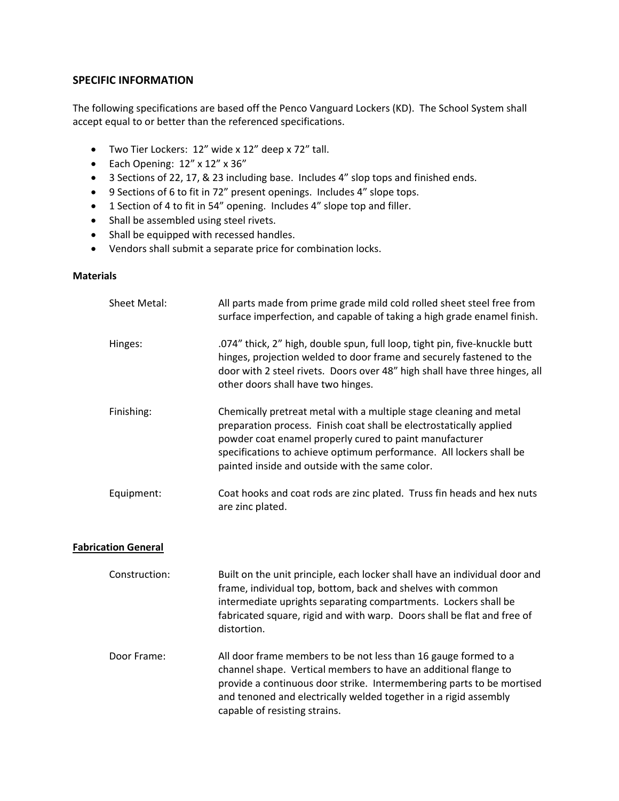### **SPECIFIC INFORMATION**

The following specifications are based off the Penco Vanguard Lockers (KD). The School System shall accept equal to or better than the referenced specifications.

- Two Tier Lockers: 12" wide x 12" deep x 72" tall.
- Each Opening: 12" x 12" x 36"
- 3 Sections of 22, 17, & 23 including base. Includes 4" slop tops and finished ends.
- 9 Sections of 6 to fit in 72" present openings. Includes 4" slope tops.
- 1 Section of 4 to fit in 54" opening. Includes 4" slope top and filler.
- Shall be assembled using steel rivets.
- Shall be equipped with recessed handles.
- Vendors shall submit a separate price for combination locks.

### **Materials**

| <b>Sheet Metal:</b>        | All parts made from prime grade mild cold rolled sheet steel free from<br>surface imperfection, and capable of taking a high grade enamel finish.                                                                                                                                                                              |  |
|----------------------------|--------------------------------------------------------------------------------------------------------------------------------------------------------------------------------------------------------------------------------------------------------------------------------------------------------------------------------|--|
| Hinges:                    | .074" thick, 2" high, double spun, full loop, tight pin, five-knuckle butt<br>hinges, projection welded to door frame and securely fastened to the<br>door with 2 steel rivets. Doors over 48" high shall have three hinges, all<br>other doors shall have two hinges.                                                         |  |
| Finishing:                 | Chemically pretreat metal with a multiple stage cleaning and metal<br>preparation process. Finish coat shall be electrostatically applied<br>powder coat enamel properly cured to paint manufacturer<br>specifications to achieve optimum performance. All lockers shall be<br>painted inside and outside with the same color. |  |
| Equipment:                 | Coat hooks and coat rods are zinc plated. Truss fin heads and hex nuts<br>are zinc plated.                                                                                                                                                                                                                                     |  |
| <b>Fabrication General</b> |                                                                                                                                                                                                                                                                                                                                |  |
| Construction:              | Built on the unit principle, each locker shall have an individual door and<br>frame, individual top, bottom, back and shelves with common<br>intermediate uprights separating compartments. Lockers shall be<br>fabricated square, rigid and with warp. Doors shall be flat and free of<br>distortion.                         |  |
|                            |                                                                                                                                                                                                                                                                                                                                |  |

Door Frame: All door frame members to be not less than 16 gauge formed to a channel shape. Vertical members to have an additional flange to provide a continuous door strike. Intermembering parts to be mortised and tenoned and electrically welded together in a rigid assembly capable of resisting strains.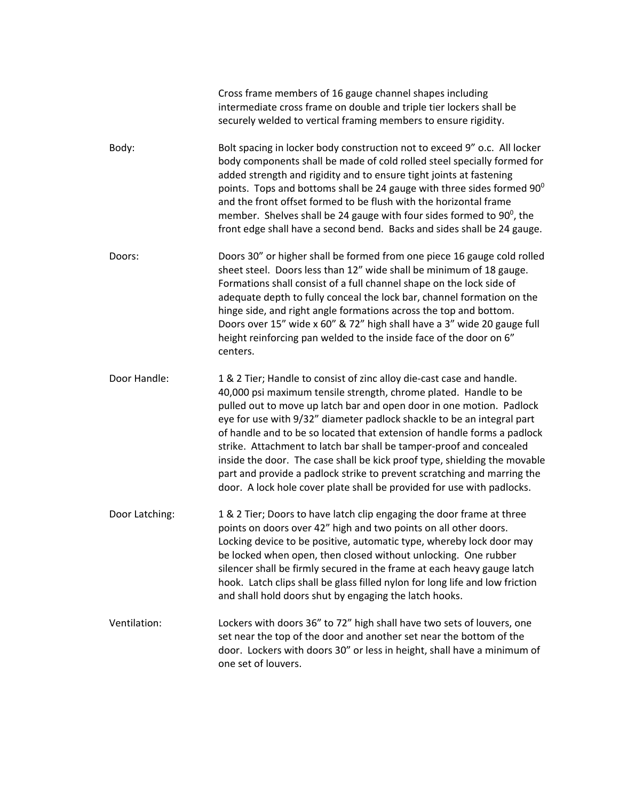|                | Cross frame members of 16 gauge channel shapes including<br>intermediate cross frame on double and triple tier lockers shall be<br>securely welded to vertical framing members to ensure rigidity.                                                                                                                                                                                                                                                                                                                                                                                                                                                                              |
|----------------|---------------------------------------------------------------------------------------------------------------------------------------------------------------------------------------------------------------------------------------------------------------------------------------------------------------------------------------------------------------------------------------------------------------------------------------------------------------------------------------------------------------------------------------------------------------------------------------------------------------------------------------------------------------------------------|
| Body:          | Bolt spacing in locker body construction not to exceed 9" o.c. All locker<br>body components shall be made of cold rolled steel specially formed for<br>added strength and rigidity and to ensure tight joints at fastening<br>points. Tops and bottoms shall be 24 gauge with three sides formed $90^{\circ}$<br>and the front offset formed to be flush with the horizontal frame<br>member. Shelves shall be 24 gauge with four sides formed to $90^{\circ}$ , the<br>front edge shall have a second bend. Backs and sides shall be 24 gauge.                                                                                                                                |
| Doors:         | Doors 30" or higher shall be formed from one piece 16 gauge cold rolled<br>sheet steel. Doors less than 12" wide shall be minimum of 18 gauge.<br>Formations shall consist of a full channel shape on the lock side of<br>adequate depth to fully conceal the lock bar, channel formation on the<br>hinge side, and right angle formations across the top and bottom.<br>Doors over 15" wide x 60" & 72" high shall have a 3" wide 20 gauge full<br>height reinforcing pan welded to the inside face of the door on 6"<br>centers.                                                                                                                                              |
| Door Handle:   | 1 & 2 Tier; Handle to consist of zinc alloy die-cast case and handle.<br>40,000 psi maximum tensile strength, chrome plated. Handle to be<br>pulled out to move up latch bar and open door in one motion. Padlock<br>eye for use with 9/32" diameter padlock shackle to be an integral part<br>of handle and to be so located that extension of handle forms a padlock<br>strike. Attachment to latch bar shall be tamper-proof and concealed<br>inside the door. The case shall be kick proof type, shielding the movable<br>part and provide a padlock strike to prevent scratching and marring the<br>door. A lock hole cover plate shall be provided for use with padlocks. |
| Door Latching: | 1 & 2 Tier; Doors to have latch clip engaging the door frame at three<br>points on doors over 42" high and two points on all other doors.<br>Locking device to be positive, automatic type, whereby lock door may<br>be locked when open, then closed without unlocking. One rubber<br>silencer shall be firmly secured in the frame at each heavy gauge latch<br>hook. Latch clips shall be glass filled nylon for long life and low friction<br>and shall hold doors shut by engaging the latch hooks.                                                                                                                                                                        |
| Ventilation:   | Lockers with doors 36" to 72" high shall have two sets of louvers, one<br>set near the top of the door and another set near the bottom of the<br>door. Lockers with doors 30" or less in height, shall have a minimum of<br>one set of louvers.                                                                                                                                                                                                                                                                                                                                                                                                                                 |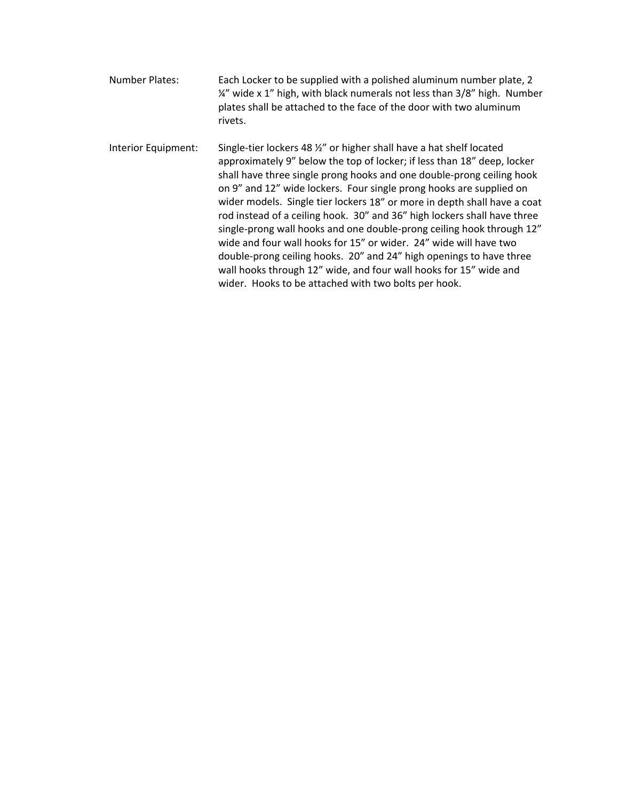| Number Plates:      | Each Locker to be supplied with a polished aluminum number plate, 2<br>1/4" wide x 1" high, with black numerals not less than 3/8" high. Number<br>plates shall be attached to the face of the door with two aluminum<br>rivets.                                                                                                                                                                                                                                                                                                                                                                                                                                                                                                                                                                        |
|---------------------|---------------------------------------------------------------------------------------------------------------------------------------------------------------------------------------------------------------------------------------------------------------------------------------------------------------------------------------------------------------------------------------------------------------------------------------------------------------------------------------------------------------------------------------------------------------------------------------------------------------------------------------------------------------------------------------------------------------------------------------------------------------------------------------------------------|
| Interior Equipment: | Single-tier lockers 48 %" or higher shall have a hat shelf located<br>approximately 9" below the top of locker; if less than 18" deep, locker<br>shall have three single prong hooks and one double-prong ceiling hook<br>on 9" and 12" wide lockers. Four single prong hooks are supplied on<br>wider models. Single tier lockers 18" or more in depth shall have a coat<br>rod instead of a ceiling hook. 30" and 36" high lockers shall have three<br>single-prong wall hooks and one double-prong ceiling hook through 12"<br>wide and four wall hooks for 15" or wider. 24" wide will have two<br>double-prong ceiling hooks. 20" and 24" high openings to have three<br>wall hooks through 12" wide, and four wall hooks for 15" wide and<br>wider. Hooks to be attached with two bolts per hook. |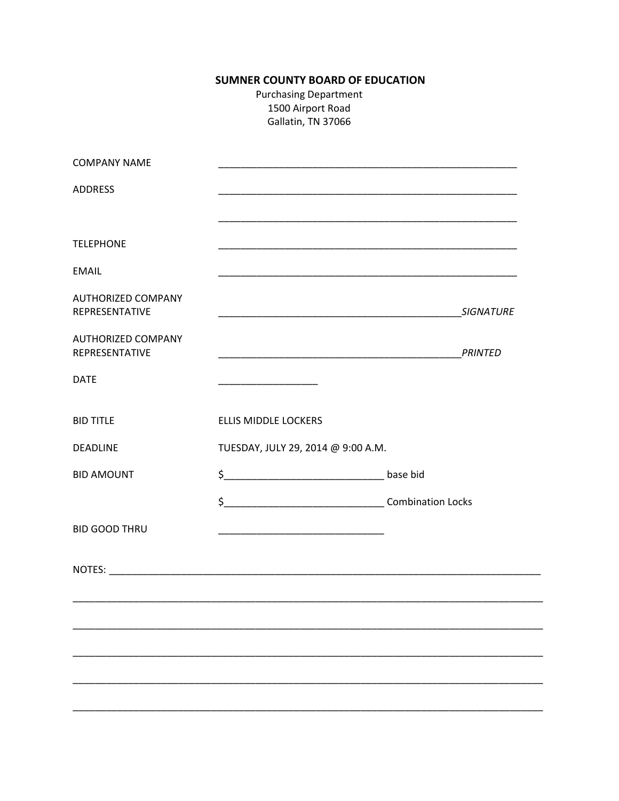# **SUMNER COUNTY BOARD OF EDUCATION**

**Purchasing Department** 1500 Airport Road Gallatin, TN 37066

| <b>COMPANY NAME</b>                         |                                                                                                                          |                  |
|---------------------------------------------|--------------------------------------------------------------------------------------------------------------------------|------------------|
| <b>ADDRESS</b>                              |                                                                                                                          |                  |
| <b>TELEPHONE</b>                            |                                                                                                                          |                  |
| <b>EMAIL</b>                                |                                                                                                                          |                  |
| <b>AUTHORIZED COMPANY</b><br>REPRESENTATIVE | <u> 1989 - Johann John Stone, market fan de Amerikaanske kommunister op de Amerikaanske kommunister op de Amerikaans</u> | <b>SIGNATURE</b> |
| <b>AUTHORIZED COMPANY</b><br>REPRESENTATIVE |                                                                                                                          |                  |
| <b>DATE</b>                                 |                                                                                                                          |                  |
| <b>BID TITLE</b>                            | <b>ELLIS MIDDLE LOCKERS</b>                                                                                              |                  |
| <b>DEADLINE</b>                             | TUESDAY, JULY 29, 2014 @ 9:00 A.M.                                                                                       |                  |
| <b>BID AMOUNT</b>                           |                                                                                                                          |                  |
|                                             |                                                                                                                          |                  |
| <b>BID GOOD THRU</b>                        | <u> 1980 - Johann John Stone, mars eta biztanleria (</u>                                                                 |                  |
|                                             |                                                                                                                          |                  |
|                                             | <u> 1989 - Johann John Stoff, deutscher Stoffen und der Stoffen und der Stoffen und der Stoffen und der Stoffen u</u>    |                  |
|                                             |                                                                                                                          |                  |
|                                             |                                                                                                                          |                  |
|                                             |                                                                                                                          |                  |
|                                             |                                                                                                                          |                  |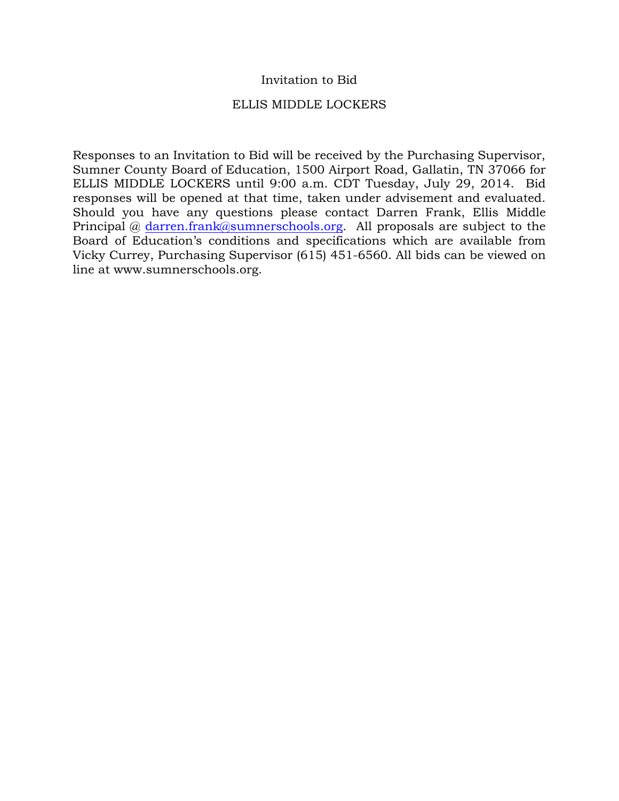# Invitation to Bid

# ELLIS MIDDLE LOCKERS

Responses to an Invitation to Bid will be received by the Purchasing Supervisor, Sumner County Board of Education, 1500 Airport Road, Gallatin, TN 37066 for ELLIS MIDDLE LOCKERS until 9:00 a.m. CDT Tuesday, July 29, 2014. Bid responses will be opened at that time, taken under advisement and evaluated. Should you have any questions please contact Darren Frank, Ellis Middle Principal @ darren.frank@sumnerschools.org. All proposals are subject to the Board of Education's conditions and specifications which are available from Vicky Currey, Purchasing Supervisor (615) 451-6560. All bids can be viewed on line at www.sumnerschools.org.